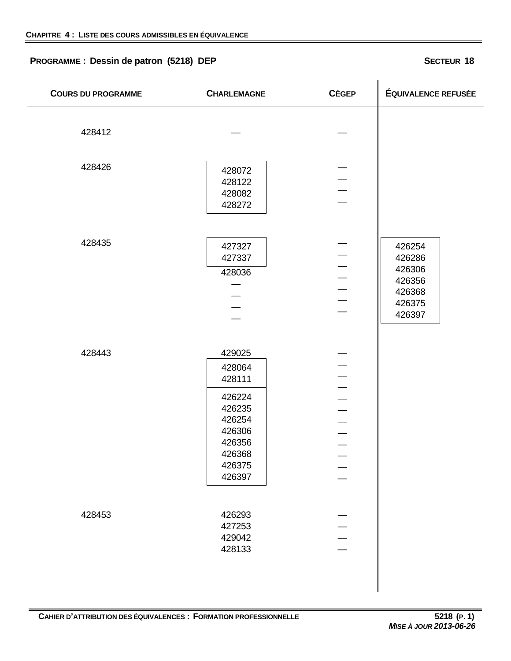# **PROGRAMME : Dessin de patron (5218) DEP SECTEUR 18**

| <b>COURS DU PROGRAMME</b> | <b>CHARLEMAGNE</b>                                                                                         | <b>CÉGEP</b>             | <b>ÉQUIVALENCE REFUSÉE</b>                                         |
|---------------------------|------------------------------------------------------------------------------------------------------------|--------------------------|--------------------------------------------------------------------|
| 428412                    |                                                                                                            |                          |                                                                    |
| 428426                    | 428072<br>428122<br>428082<br>428272                                                                       |                          |                                                                    |
| 428435                    | 427327<br>427337<br>428036                                                                                 |                          | 426254<br>426286<br>426306<br>426356<br>426368<br>426375<br>426397 |
| 428443                    | 429025<br>428064<br>428111<br>426224<br>426235<br>426254<br>426306<br>426356<br>426368<br>426375<br>426397 | $\overline{\phantom{0}}$ |                                                                    |
| 428453                    | 426293<br>427253<br>429042<br>428133                                                                       |                          |                                                                    |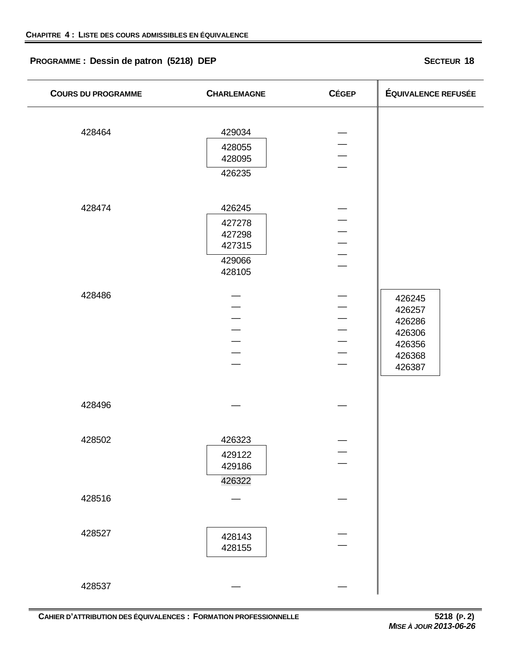# **PROGRAMME : Dessin de patron (5218) DEP SECTEUR 18**

| <b>COURS DU PROGRAMME</b> | <b>CHARLEMAGNE</b>                                       | <b>CÉGEP</b>                                                                           | <b>ÉQUIVALENCE REFUSÉE</b>                                         |
|---------------------------|----------------------------------------------------------|----------------------------------------------------------------------------------------|--------------------------------------------------------------------|
| 428464                    | 429034<br>428055<br>428095<br>426235                     |                                                                                        |                                                                    |
| 428474                    | 426245<br>427278<br>427298<br>427315<br>429066<br>428105 | $\equiv$                                                                               |                                                                    |
| 428486                    |                                                          | $\frac{1}{1}$<br>$\overline{\phantom{0}}$<br>$\frac{1}{2}$<br>$\overline{\phantom{0}}$ | 426245<br>426257<br>426286<br>426306<br>426356<br>426368<br>426387 |
| 428496                    |                                                          |                                                                                        |                                                                    |
| 428502                    | 426323<br>429122<br>429186<br>426322                     |                                                                                        |                                                                    |
| 428516                    |                                                          |                                                                                        |                                                                    |
| 428527                    | 428143<br>428155                                         |                                                                                        |                                                                    |
| 428537                    |                                                          |                                                                                        |                                                                    |